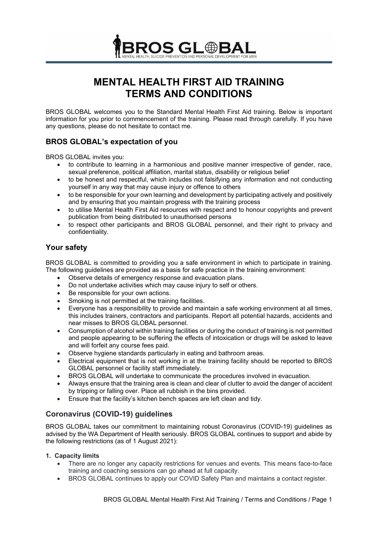

# **MENTAL HEALTH FIRST AID TRAINING TERMS AND CONDITIONS**

BROS GLOBAL welcomes you to the Standard Mental Health First Aid training. Below is important information for you prior to commencement of the training. Please read through carefully. If you have any questions, please do not hesitate to contact me.

# **BROS GLOBAL's expectation of you**

BROS GLOBAL invites you:

- to contribute to learning in a harmonious and positive manner irrespective of gender, race, sexual preference, political affiliation, marital status, disability or religious belief
- to be honest and respectful, which includes not falsifying any information and not conducting yourself in any way that may cause injury or offence to others
- to be responsible for your own learning and development by participating actively and positively and by ensuring that you maintain progress with the training process
- to utilise Mental Health First Aid resources with respect and to honour copyrights and prevent publication from being distributed to unauthorised persons
- to respect other participants and BROS GLOBAL personnel, and their right to privacy and confidentiality.

# **Your safety**

BROS GLOBAL is committed to providing you a safe environment in which to participate in training. The following guidelines are provided as a basis for safe practice in the training environment:

- Observe details of emergency response and evacuation plans.
- Do not undertake activities which may cause injury to self or others.
- Be responsible for your own actions.
- Smoking is not permitted at the training facilities.
- Everyone has a responsibility to provide and maintain a safe working environment at all times, this includes trainers, contractors and participants. Report all potential hazards, accidents and near misses to BROS GLOBAL personnel.
- Consumption of alcohol within training facilities or during the conduct of training is not permitted and people appearing to be suffering the effects of intoxication or drugs will be asked to leave and will forfeit any course fees paid.
- Observe hygiene standards particularly in eating and bathroom areas.
- Electrical equipment that is not working in at the training facility should be reported to BROS GLOBAL personnel or facility staff immediately.
- BROS GLOBAL will undertake to communicate the procedures involved in evacuation.
- Always ensure that the training area is clean and clear of clutter to avoid the danger of accident by tripping or falling over. Place all rubbish in the bins provided.
- Ensure that the facility's kitchen bench spaces are left clean and tidy.

# **Coronavirus (COVID-19) guidelines**

BROS GLOBAL takes our commitment to maintaining robust Coronavirus (COVID-19) guidelines as advised by the WA Department of Health seriously. BROS GLOBAL continues to support and abide by the following restrictions (as of 1 August 2021):

#### **1. Capacity limits**

- There are no longer any capacity restrictions for venues and events. This means face-to-face training and coaching sessions can go ahead at full capacity.
- BROS GLOBAL continues to apply our [COVID Safety Plan](https://www.wa.gov.au/government/document-collections/covid-19-coronavirus-covid-safety-plans-and-guidelines) and maintains [a contact register.](https://www.wa.gov.au/organisation/covid-communications/covid-19-coronavirus-contact-registers)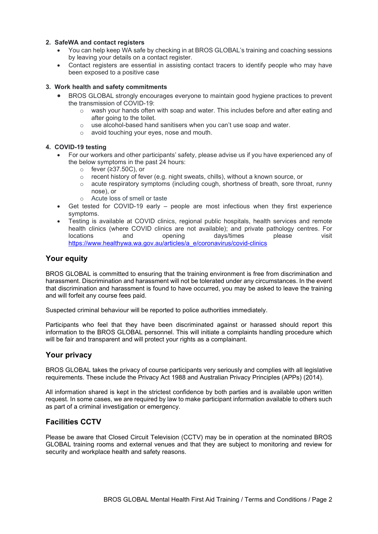#### **2. SafeWA and contact registers**

- You can help keep WA safe by checking in at BROS GLOBAL's training and coaching sessions by leaving your details on a contact register.
- Contact registers are essential in assisting contact tracers to identify people who may have been exposed to a positive case

#### **3. Work health and safety commitments**

- BROS GLOBAL strongly encourages everyone to maintain good hygiene practices to prevent the transmission of COVID-19:
	- $\circ$  wash your hands often with soap and water. This includes before and after eating and after going to the toilet.
	- o use alcohol-based hand sanitisers when you can't use soap and water.
	- o avoid touching your eyes, nose and mouth.

#### **4. COVID-19 testing**

- For our workers and other participants' safety, please advise us if you have experienced any of the below symptoms in the past 24 hours:
	- o fever (≥37.50C), or
	- o recent history of fever (e.g. night sweats, chills), without a known source, or
	- o acute respiratory symptoms (including cough, shortness of breath, sore throat, runny nose), or
	- o Acute loss of smell or taste
- Get tested for COVID-19 early people are most infectious when they first experience symptoms.
- Testing is available at COVID clinics, regional public hospitals, health services and remote health clinics (where COVID clinics are not available); and private pathology centres. For locations and opening days/times please visit locations and opening days/times please visit [https://www.healthywa.wa.gov.au/articles/a\\_e/coronavirus/covid-clinics](https://www.healthywa.wa.gov.au/articles/a_e/coronavirus/covid-clinics)

## **Your equity**

BROS GLOBAL is committed to ensuring that the training environment is free from discrimination and harassment. Discrimination and harassment will not be tolerated under any circumstances. In the event that discrimination and harassment is found to have occurred, you may be asked to leave the training and will forfeit any course fees paid.

Suspected criminal behaviour will be reported to police authorities immediately.

Participants who feel that they have been discriminated against or harassed should report this information to the BROS GLOBAL personnel. This will initiate a complaints handling procedure which will be fair and transparent and will protect your rights as a complainant.

## **Your privacy**

BROS GLOBAL takes the privacy of course participants very seriously and complies with all legislative requirements. These include the Privacy Act 1988 and Australian Privacy Principles (APPs) (2014).

All information shared is kept in the strictest confidence by both parties and is available upon written request. In some cases, we are required by law to make participant information available to others such as part of a criminal investigation or emergency.

## **Facilities CCTV**

Please be aware that Closed Circuit Television (CCTV) may be in operation at the nominated BROS GLOBAL training rooms and external venues and that they are subject to monitoring and review for security and workplace health and safety reasons.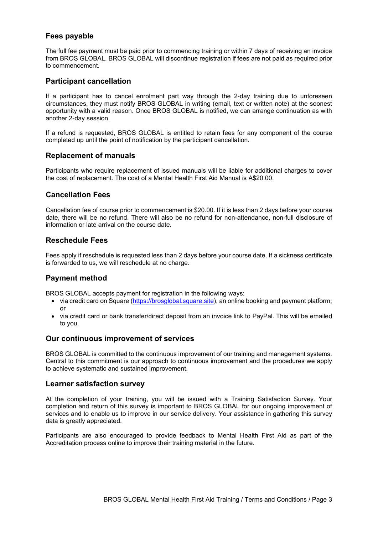# **Fees payable**

The full fee payment must be paid prior to commencing training or within 7 days of receiving an invoice from BROS GLOBAL. BROS GLOBAL will discontinue registration if fees are not paid as required prior to commencement.

## **Participant cancellation**

If a participant has to cancel enrolment part way through the 2-day training due to unforeseen circumstances, they must notify BROS GLOBAL in writing (email, text or written note) at the soonest opportunity with a valid reason. Once BROS GLOBAL is notified, we can arrange continuation as with another 2-day session.

If a refund is requested, BROS GLOBAL is entitled to retain fees for any component of the course completed up until the point of notification by the participant cancellation.

### **Replacement of manuals**

Participants who require replacement of issued manuals will be liable for additional charges to cover the cost of replacement. The cost of a Mental Health First Aid Manual is A\$20.00.

# **Cancellation Fees**

Cancellation fee of course prior to commencement is \$20.00. If it is less than 2 days before your course date, there will be no refund. There will also be no refund for non-attendance, non-full disclosure of information or late arrival on the course date.

## **Reschedule Fees**

Fees apply if reschedule is requested less than 2 days before your course date. If a sickness certificate is forwarded to us, we will reschedule at no charge.

## **Payment method**

BROS GLOBAL accepts payment for registration in the following ways:

- via credit card on Square [\(https://brosglobal.square.site\)](https://brosglobal.square.site/), an online booking and payment platform; or
- via credit card or bank transfer/direct deposit from an invoice link to PayPal. This will be emailed to you.

#### **Our continuous improvement of services**

BROS GLOBAL is committed to the continuous improvement of our training and management systems. Central to this commitment is our approach to continuous improvement and the procedures we apply to achieve systematic and sustained improvement.

#### **Learner satisfaction survey**

At the completion of your training, you will be issued with a Training Satisfaction Survey. Your completion and return of this survey is important to BROS GLOBAL for our ongoing improvement of services and to enable us to improve in our service delivery. Your assistance in gathering this survey data is greatly appreciated.

Participants are also encouraged to provide feedback to Mental Health First Aid as part of the Accreditation process online to improve their training material in the future.